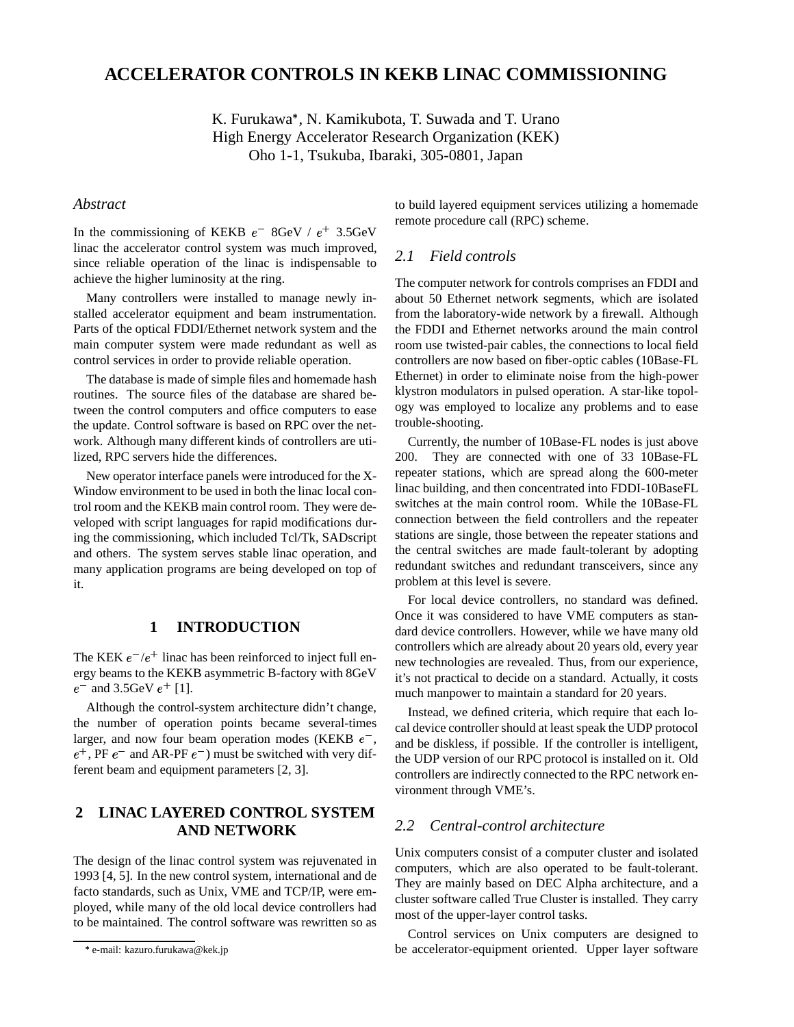# **ACCELERATOR CONTROLS IN KEKB LINAC COMMISSIONING**

K. Furukawa\*, N. Kamikubota, T. Suwada and T. Urano High Energy Accelerator Research Organization (KEK) Oho 1-1, Tsukuba, Ibaraki, 305-0801, Japan

#### *Abstract*

In the commissioning of KEKB  $e^-$  8GeV /  $e^+$  3.5GeV linac the accelerator control system was much improved, since reliable operation of the linac is indispensable to achieve the higher luminosity at the ring.

Many controllers were installed to manage newly installed accelerator equipment and beam instrumentation. Parts of the optical FDDI/Ethernet network system and the main computer system were made redundant as well as control services in order to provide reliable operation.

The database is made of simple files and homemade hash routines. The source files of the database are shared between the control computers and office computers to ease the update. Control software is based on RPC over the network. Although many different kinds of controllers are utilized, RPC servers hide the differences.

New operator interface panels were introduced for the X-Window environment to be used in both the linac local control room and the KEKB main control room. They were developed with script languages for rapid modifications during the commissioning, which included Tcl/Tk, SADscript and others. The system serves stable linac operation, and many application programs are being developed on top of it.

### **1 INTRODUCTION**

The KEK  $e^-/e^+$  linac has been reinforced to inject full energy beams to the KEKB asymmetric B-factory with 8GeV  $e^-$  and 3.5GeV  $e^+$  [1].

Although the control-system architecture didn't change, the number of operation points became several-times larger, and now four beam operation modes (KEKB  $e^-$ , and  $e^+$ , PF  $e^-$  and AR-PF  $e^-$ ) must be switched with very different beam and equipment parameters [2, 3].

## **2 LINAC LAYERED CONTROL SYSTEM AND NETWORK**

The design of the linac control system was rejuvenated in 1993 [4, 5]. In the new control system, international and de facto standards, such as Unix, VME and TCP/IP, were employed, while many of the old local device controllers had to be maintained. The control software was rewritten so as to build layered equipment services utilizing a homemade remote procedure call (RPC) scheme.

#### *2.1 Field controls*

The computer network for controls comprises an FDDI and about 50 Ethernet network segments, which are isolated from the laboratory-wide network by a firewall. Although the FDDI and Ethernet networks around the main control room use twisted-pair cables, the connections to local field controllers are now based on fiber-optic cables (10Base-FL Ethernet) in order to eliminate noise from the high-power klystron modulators in pulsed operation. A star-like topology was employed to localize any problems and to ease trouble-shooting.

Currently, the number of 10Base-FL nodes is just above 200. They are connected with one of 33 10Base-FL repeater stations, which are spread along the 600-meter linac building, and then concentrated into FDDI-10BaseFL switches at the main control room. While the 10Base-FL connection between the field controllers and the repeater stations are single, those between the repeater stations and the central switches are made fault-tolerant by adopting redundant switches and redundant transceivers, since any problem at this level is severe.

For local device controllers, no standard was defined. Once it was considered to have VME computers as standard device controllers. However, while we have many old controllers which are already about 20 years old, every year new technologies are revealed. Thus, from our experience, it's not practical to decide on a standard. Actually, it costs much manpower to maintain a standard for 20 years.

 and be diskless, if possible. If the controller is intelligent, Instead, we defined criteria, which require that each local device controller should at least speak the UDP protocol the UDP version of our RPC protocol is installed on it. Old controllers are indirectly connected to the RPC network environment through VME's.

#### *2.2 Central-control architecture*

Unix computers consist of a computer cluster and isolated computers, which are also operated to be fault-tolerant. They are mainly based on DEC Alpha architecture, and a cluster software called True Cluster is installed. They carry most of the upper-layer control tasks.

Control services on Unix computers are designed to be accelerator-equipment oriented. Upper layer software

e-mail: kazuro.furukawa@kek.jp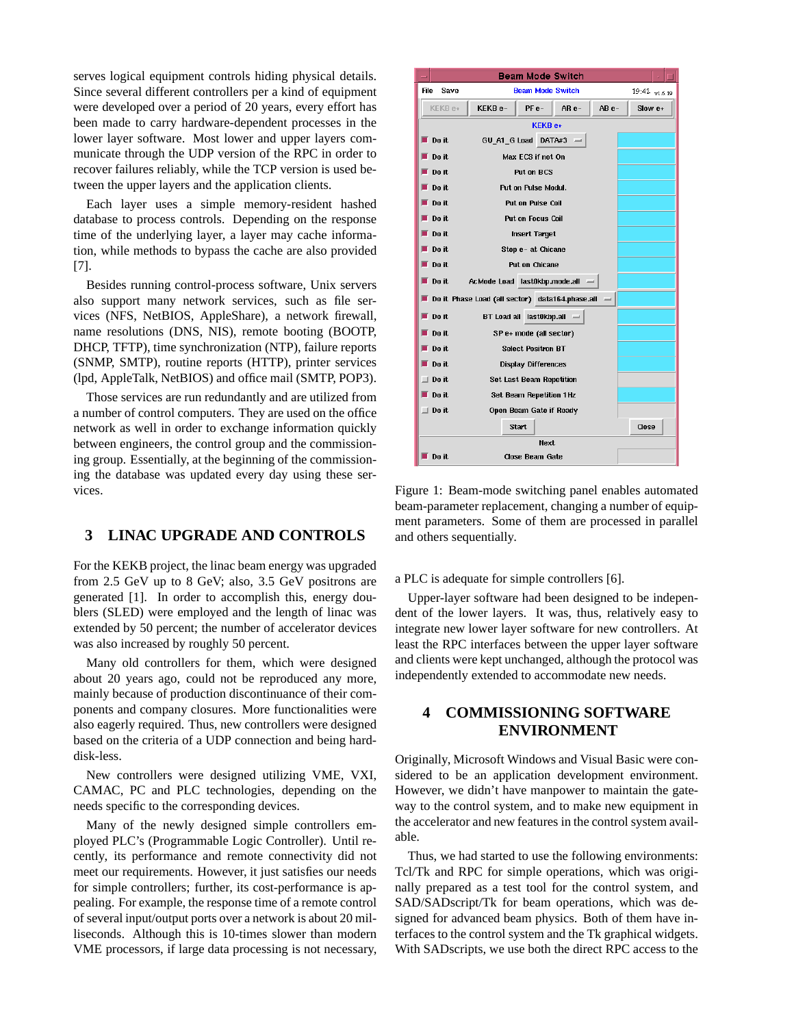serves logical equipment controls hiding physical details. Since several different controllers per a kind of equipment were developed over a period of 20 years, every effort has been made to carry hardware-dependent processes in the lower layer software. Most lower and upper layers communicate through the UDP version of the RPC in order to recover failures reliably, while the TCP version is used between the upper layers and the application clients.

Each layer uses a simple memory-resident hashed database to process controls. Depending on the response time of the underlying layer, a layer may cache information, while methods to bypass the cache are also provided [7].

Besides running control-process software, Unix servers also support many network services, such as file services (NFS, NetBIOS, AppleShare), a network firewall, name resolutions (DNS, NIS), remote booting (BOOTP, DHCP, TFTP), time synchronization (NTP), failure reports (SNMP, SMTP), routine reports (HTTP), printer services (lpd, AppleTalk, NetBIOS) and office mail (SMTP, POP3).

Those services are run redundantly and are utilized from a number of control computers. They are used on the office network as well in order to exchange information quickly between engineers, the control group and the commissioning group. Essentially, at the beginning of the commissioning the database was updated every day using these services.

### **3 LINAC UPGRADE AND CONTROLS**

For the KEKB project, the linac beam energy was upgraded from 2.5 GeV up to 8 GeV; also, 3.5 GeV positrons are generated [1]. In order to accomplish this, energy doublers (SLED) were employed and the length of linac was extended by 50 percent; the number of accelerator devices was also increased by roughly 50 percent.

Many old controllers for them, which were designed about 20 years ago, could not be reproduced any more, mainly because of production discontinuance of their components and company closures. More functionalities were also eagerly required. Thus, new controllers were designed based on the criteria of a UDP connection and being harddisk-less.

New controllers were designed utilizing VME, VXI, CAMAC, PC and PLC technologies, depending on the needs specific to the corresponding devices.

Many of the newly designed simple controllers employed PLC's (Programmable Logic Controller). Until recently, its performance and remote connectivity did not meet our requirements. However, it just satisfies our needs for simple controllers; further, its cost-performance is appealing. For example, the response time of a remote control of several input/output ports over a network is about 20 milliseconds. Although this is 10-times slower than modern VME processors, if large data processing is not necessary,

| <b>Beam Mode Switch</b>                                     |                                          |                            |         |  |  |  |  |  |  |  |
|-------------------------------------------------------------|------------------------------------------|----------------------------|---------|--|--|--|--|--|--|--|
| File<br>Save                                                | <b>Beam Mode Switch</b><br>19:42 v1.6.19 |                            |         |  |  |  |  |  |  |  |
| KEKB e+                                                     | KEKB <sub>e-</sub>                       | AB <sub>e-</sub>           | Slow e+ |  |  |  |  |  |  |  |
| <b>KEKB e+</b>                                              |                                          |                            |         |  |  |  |  |  |  |  |
| $\blacksquare$ Do it<br>GU A1 G Load DATA#3 $-$             |                                          |                            |         |  |  |  |  |  |  |  |
| Do it.<br>Max ECS if not On                                 |                                          |                            |         |  |  |  |  |  |  |  |
| Do it                                                       | <b>Put on BCS</b>                        |                            |         |  |  |  |  |  |  |  |
| Do it                                                       | Put on Pulse Modul.                      |                            |         |  |  |  |  |  |  |  |
| Do it.                                                      |                                          |                            |         |  |  |  |  |  |  |  |
| Do it                                                       | <b>Put on Focus Coil</b>                 |                            |         |  |  |  |  |  |  |  |
| Do it                                                       | <b>Insert Target</b>                     |                            |         |  |  |  |  |  |  |  |
| $\blacksquare$ Do it                                        | Stop e- at Chicane                       |                            |         |  |  |  |  |  |  |  |
| $\blacksquare$ Do it                                        |                                          |                            |         |  |  |  |  |  |  |  |
| AcMode Load last0kbp.mode.all -<br>$\blacksquare$ Do it     |                                          |                            |         |  |  |  |  |  |  |  |
| Do it Phase Load (all sector) data164.phase.all<br>$\equiv$ |                                          |                            |         |  |  |  |  |  |  |  |
| $\blacksquare$ Do it.                                       |                                          | BT Load all last0kbp.all - |         |  |  |  |  |  |  |  |
| $\blacksquare$ Do it.                                       |                                          |                            |         |  |  |  |  |  |  |  |
| Do it                                                       |                                          |                            |         |  |  |  |  |  |  |  |
| ■ Do it                                                     | <b>Display Differences</b>               |                            |         |  |  |  |  |  |  |  |
| $\Box$ Do it                                                | <b>Set Last Beam Repetition</b>          |                            |         |  |  |  |  |  |  |  |
| Do it                                                       | <b>Set Beam Repetition 1Hz</b>           |                            |         |  |  |  |  |  |  |  |
| $\Box$ Do it                                                | Open Beam Gate if Ready                  |                            |         |  |  |  |  |  |  |  |
| Start<br>Close                                              |                                          |                            |         |  |  |  |  |  |  |  |
| Next                                                        |                                          |                            |         |  |  |  |  |  |  |  |
| Do it                                                       | <b>Close Beam Gate</b>                   |                            |         |  |  |  |  |  |  |  |

Figure 1: Beam-mode switching panel enables automated beam-parameter replacement, changing a number of equipment parameters. Some of them are processed in parallel and others sequentially.

a PLC is adequate for simple controllers [6].

Upper-layer software had been designed to be independent of the lower layers. It was, thus, relatively easy to integrate new lower layer software for new controllers. At least the RPC interfaces between the upper layer software and clients were kept unchanged, although the protocol was independently extended to accommodate new needs.

## **4 COMMISSIONING SOFTWARE ENVIRONMENT**

Originally, Microsoft Windows and Visual Basic were considered to be an application development environment. However, we didn't have manpower to maintain the gateway to the control system, and to make new equipment in the accelerator and new features in the control system available.

Thus, we had started to use the following environments: Tcl/Tk and RPC for simple operations, which was originally prepared as a test tool for the control system, and SAD/SADscript/Tk for beam operations, which was designed for advanced beam physics. Both of them have interfaces to the control system and the Tk graphical widgets. With SADscripts, we use both the direct RPC access to the